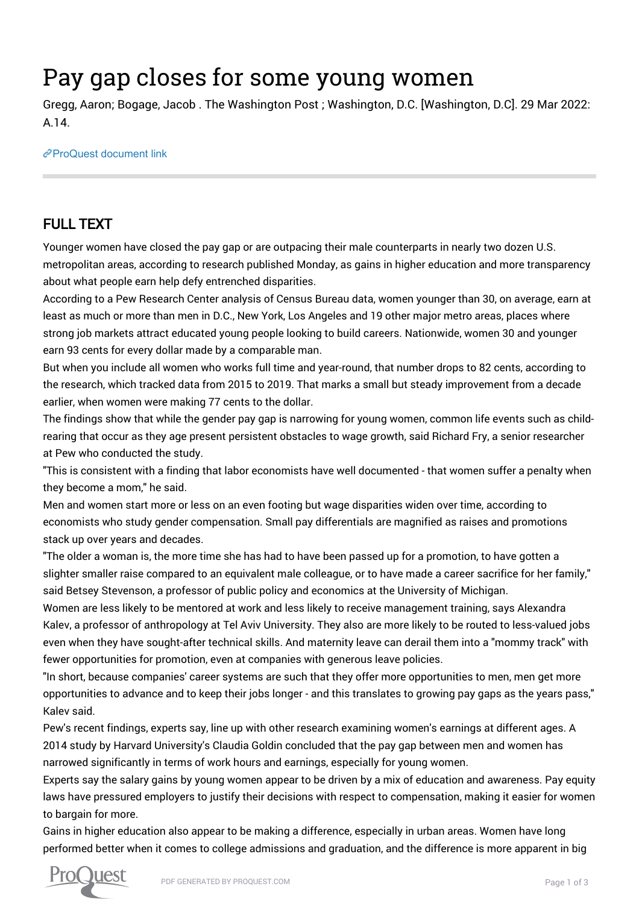## Pay gap closes for some young women

Gregg, Aaron; Bogage, Jacob . The Washington Post ; Washington, D.C. [Washington, D.C]. 29 Mar 2022: A.14.

[ProQuest document link](https://www.proquest.com/newspapers/pay-gap-closes-some-young-women/docview/2644216097/se-2?accountid=44910)

## FULL TEXT

Younger women have closed the pay gap or are outpacing their male counterparts in nearly two dozen U.S. metropolitan areas, according to research published Monday, as gains in higher education and more transparency about what people earn help defy entrenched disparities.

According to a Pew Research Center analysis of Census Bureau data, women younger than 30, on average, earn at least as much or more than men in D.C., New York, Los Angeles and 19 other major metro areas, places where strong job markets attract educated young people looking to build careers. Nationwide, women 30 and younger earn 93 cents for every dollar made by a comparable man.

But when you include all women who works full time and year-round, that number drops to 82 cents, according to the research, which tracked data from 2015 to 2019. That marks a small but steady improvement from a decade earlier, when women were making 77 cents to the dollar.

The findings show that while the gender pay gap is narrowing for young women, common life events such as childrearing that occur as they age present persistent obstacles to wage growth, said Richard Fry, a senior researcher at Pew who conducted the study.

"This is consistent with a finding that labor economists have well documented - that women suffer a penalty when they become a mom," he said.

Men and women start more or less on an even footing but wage disparities widen over time, according to economists who study gender compensation. Small pay differentials are magnified as raises and promotions stack up over years and decades.

"The older a woman is, the more time she has had to have been passed up for a promotion, to have gotten a slighter smaller raise compared to an equivalent male colleague, or to have made a career sacrifice for her family," said Betsey Stevenson, a professor of public policy and economics at the University of Michigan.

Women are less likely to be mentored at work and less likely to receive management training, says Alexandra Kalev, a professor of anthropology at Tel Aviv University. They also are more likely to be routed to less-valued jobs even when they have sought-after technical skills. And maternity leave can derail them into a "mommy track" with fewer opportunities for promotion, even at companies with generous leave policies.

"In short, because companies' career systems are such that they offer more opportunities to men, men get more opportunities to advance and to keep their jobs longer - and this translates to growing pay gaps as the years pass," Kalev said.

Pew's recent findings, experts say, line up with other research examining women's earnings at different ages. A 2014 study by Harvard University's Claudia Goldin concluded that the pay gap between men and women has narrowed significantly in terms of work hours and earnings, especially for young women.

Experts say the salary gains by young women appear to be driven by a mix of education and awareness. Pay equity laws have pressured employers to justify their decisions with respect to compensation, making it easier for women to bargain for more.

Gains in higher education also appear to be making a difference, especially in urban areas. Women have long performed better when it comes to college admissions and graduation, and the difference is more apparent in big

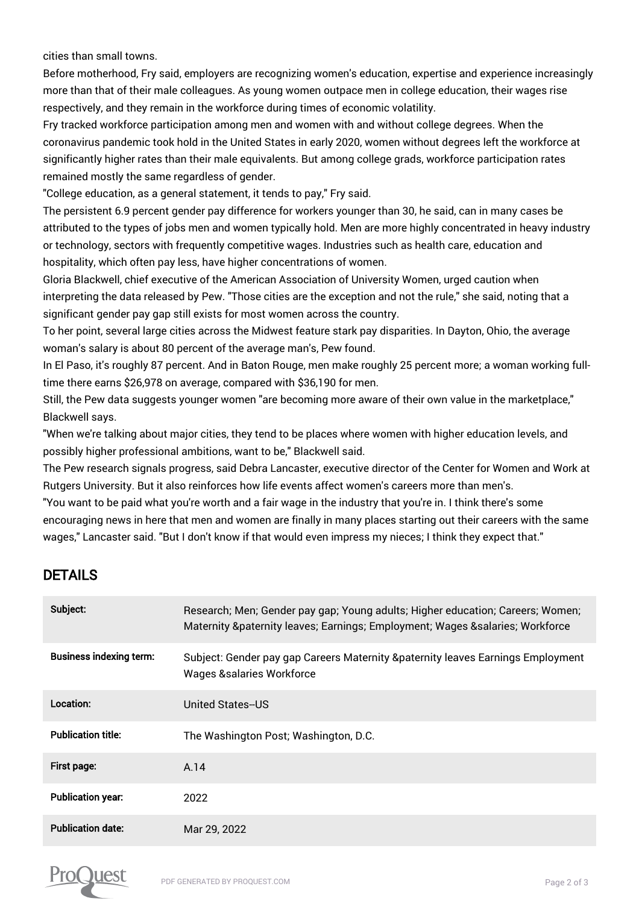cities than small towns.

Before motherhood, Fry said, employers are recognizing women's education, expertise and experience increasingly more than that of their male colleagues. As young women outpace men in college education, their wages rise respectively, and they remain in the workforce during times of economic volatility.

Fry tracked workforce participation among men and women with and without college degrees. When the coronavirus pandemic took hold in the United States in early 2020, women without degrees left the workforce at significantly higher rates than their male equivalents. But among college grads, workforce participation rates remained mostly the same regardless of gender.

"College education, as a general statement, it tends to pay," Fry said.

The persistent 6.9 percent gender pay difference for workers younger than 30, he said, can in many cases be attributed to the types of jobs men and women typically hold. Men are more highly concentrated in heavy industry or technology, sectors with frequently competitive wages. Industries such as health care, education and hospitality, which often pay less, have higher concentrations of women.

Gloria Blackwell, chief executive of the American Association of University Women, urged caution when interpreting the data released by Pew. "Those cities are the exception and not the rule," she said, noting that a significant gender pay gap still exists for most women across the country.

To her point, several large cities across the Midwest feature stark pay disparities. In Dayton, Ohio, the average woman's salary is about 80 percent of the average man's, Pew found.

In El Paso, it's roughly 87 percent. And in Baton Rouge, men make roughly 25 percent more; a woman working fulltime there earns \$26,978 on average, compared with \$36,190 for men.

Still, the Pew data suggests younger women "are becoming more aware of their own value in the marketplace," Blackwell says.

"When we're talking about major cities, they tend to be places where women with higher education levels, and possibly higher professional ambitions, want to be," Blackwell said.

The Pew research signals progress, said Debra Lancaster, executive director of the Center for Women and Work at Rutgers University. But it also reinforces how life events affect women's careers more than men's.

"You want to be paid what you're worth and a fair wage in the industry that you're in. I think there's some encouraging news in here that men and women are finally in many places starting out their careers with the same wages," Lancaster said. "But I don't know if that would even impress my nieces; I think they expect that."

## DETAILS

| Subject:                       | Research; Men; Gender pay gap; Young adults; Higher education; Careers; Women;<br>Maternity & paternity leaves; Earnings; Employment; Wages & salaries; Workforce |
|--------------------------------|-------------------------------------------------------------------------------------------------------------------------------------------------------------------|
| <b>Business indexing term:</b> | Subject: Gender pay gap Careers Maternity & paternity leaves Earnings Employment<br><b>Wages &amp;salaries Workforce</b>                                          |
| Location:                      | United States-US                                                                                                                                                  |
| <b>Publication title:</b>      | The Washington Post; Washington, D.C.                                                                                                                             |
| First page:                    | A.14                                                                                                                                                              |
| <b>Publication year:</b>       | 2022                                                                                                                                                              |
| <b>Publication date:</b>       | Mar 29, 2022                                                                                                                                                      |